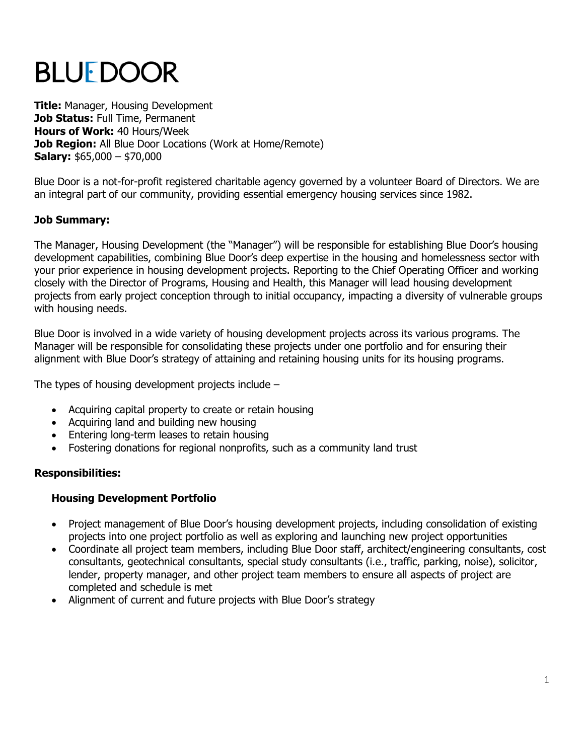# **BLUEDOOR**

**Title:** Manager, Housing Development **Job Status:** Full Time, Permanent **Hours of Work:** 40 Hours/Week **Job Region:** All Blue Door Locations (Work at Home/Remote) **Salary:** \$65,000 – \$70,000

Blue Door is a not-for-profit registered charitable agency governed by a volunteer Board of Directors. We are an integral part of our community, providing essential emergency housing services since 1982.  

#### **Job Summary:**

The Manager, Housing Development (the "Manager") will be responsible for establishing Blue Door's housing development capabilities, combining Blue Door's deep expertise in the housing and homelessness sector with your prior experience in housing development projects. Reporting to the Chief Operating Officer and working closely with the Director of Programs, Housing and Health, this Manager will lead housing development projects from early project conception through to initial occupancy, impacting a diversity of vulnerable groups with housing needs.

Blue Door is involved in a wide variety of housing development projects across its various programs. The Manager will be responsible for consolidating these projects under one portfolio and for ensuring their alignment with Blue Door's strategy of attaining and retaining housing units for its housing programs.

The types of housing development projects include –

- Acquiring capital property to create or retain housing
- Acquiring land and building new housing
- Entering long-term leases to retain housing
- Fostering donations for regional nonprofits, such as a community land trust

#### **Responsibilities:**

#### **Housing Development Portfolio**

- Project management of Blue Door's housing development projects, including consolidation of existing projects into one project portfolio as well as exploring and launching new project opportunities
- Coordinate all project team members, including Blue Door staff, architect/engineering consultants, cost consultants, geotechnical consultants, special study consultants (i.e., traffic, parking, noise), solicitor, lender, property manager, and other project team members to ensure all aspects of project are completed and schedule is met
- Alignment of current and future projects with Blue Door's strategy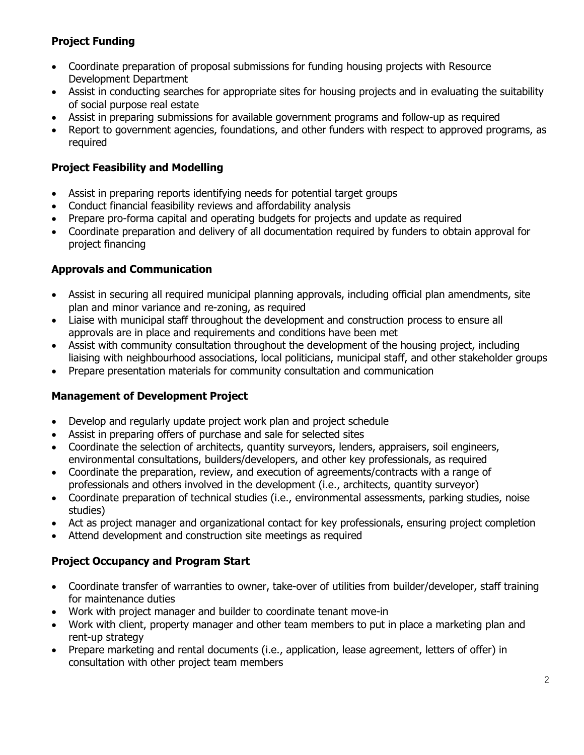# **Project Funding**

- Coordinate preparation of proposal submissions for funding housing projects with Resource Development Department
- Assist in conducting searches for appropriate sites for housing projects and in evaluating the suitability of social purpose real estate
- Assist in preparing submissions for available government programs and follow-up as required
- Report to government agencies, foundations, and other funders with respect to approved programs, as required

## **Project Feasibility and Modelling**

- Assist in preparing reports identifying needs for potential target groups
- Conduct financial feasibility reviews and affordability analysis
- Prepare pro-forma capital and operating budgets for projects and update as required
- Coordinate preparation and delivery of all documentation required by funders to obtain approval for project financing

## **Approvals and Communication**

- Assist in securing all required municipal planning approvals, including official plan amendments, site plan and minor variance and re-zoning, as required
- Liaise with municipal staff throughout the development and construction process to ensure all approvals are in place and requirements and conditions have been met
- Assist with community consultation throughout the development of the housing project, including liaising with neighbourhood associations, local politicians, municipal staff, and other stakeholder groups
- Prepare presentation materials for community consultation and communication

## **Management of Development Project**

- Develop and regularly update project work plan and project schedule
- Assist in preparing offers of purchase and sale for selected sites
- Coordinate the selection of architects, quantity surveyors, lenders, appraisers, soil engineers, environmental consultations, builders/developers, and other key professionals, as required
- Coordinate the preparation, review, and execution of agreements/contracts with a range of professionals and others involved in the development (i.e., architects, quantity surveyor)
- Coordinate preparation of technical studies (i.e., environmental assessments, parking studies, noise studies)
- Act as project manager and organizational contact for key professionals, ensuring project completion
- Attend development and construction site meetings as required

## **Project Occupancy and Program Start**

- Coordinate transfer of warranties to owner, take-over of utilities from builder/developer, staff training for maintenance duties
- Work with project manager and builder to coordinate tenant move-in
- Work with client, property manager and other team members to put in place a marketing plan and rent-up strategy
- Prepare marketing and rental documents (i.e., application, lease agreement, letters of offer) in consultation with other project team members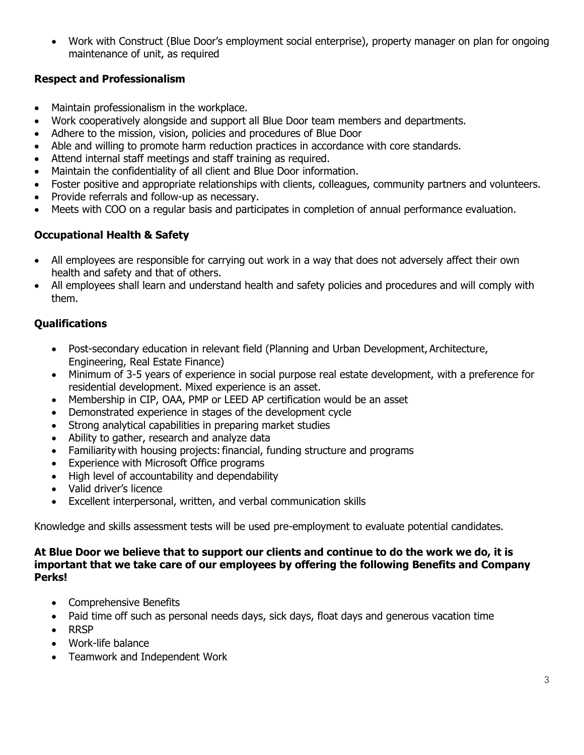• Work with Construct (Blue Door's employment social enterprise), property manager on plan for ongoing maintenance of unit, as required

## **Respect and Professionalism**

- Maintain professionalism in the workplace.
- Work cooperatively alongside and support all Blue Door team members and departments.
- Adhere to the mission, vision, policies and procedures of Blue Door
- Able and willing to promote harm reduction practices in accordance with core standards.
- Attend internal staff meetings and staff training as required.
- Maintain the confidentiality of all client and Blue Door information.
- Foster positive and appropriate relationships with clients, colleagues, community partners and volunteers.
- Provide referrals and follow-up as necessary.
- Meets with COO on a regular basis and participates in completion of annual performance evaluation.

# **Occupational Health & Safety**

- All employees are responsible for carrying out work in a way that does not adversely affect their own health and safety and that of others.
- All employees shall learn and understand health and safety policies and procedures and will comply with them.

# **Qualifications**

- Post-secondary education in relevant field (Planning and Urban Development, Architecture, Engineering, Real Estate Finance)
- Minimum of 3-5 years of experience in social purpose real estate development, with a preference for residential development. Mixed experience is an asset.
- Membership in CIP, OAA, PMP or LEED AP certification would be an asset
- Demonstrated experience in stages of the development cycle
- Strong analytical capabilities in preparing market studies
- Ability to gather, research and analyze data
- Familiarity with housing projects: financial, funding structure and programs
- Experience with Microsoft Office programs
- High level of accountability and dependability
- Valid driver's licence
- Excellent interpersonal, written, and verbal communication skills

Knowledge and skills assessment tests will be used pre-employment to evaluate potential candidates.

#### **At Blue Door we believe that to support our clients and continue to do the work we do, it is important that we take care of our employees by offering the following Benefits and Company Perks!**

- Comprehensive Benefits
- Paid time off such as personal needs days, sick days, float days and generous vacation time
- RRSP
- Work-life balance
- Teamwork and Independent Work